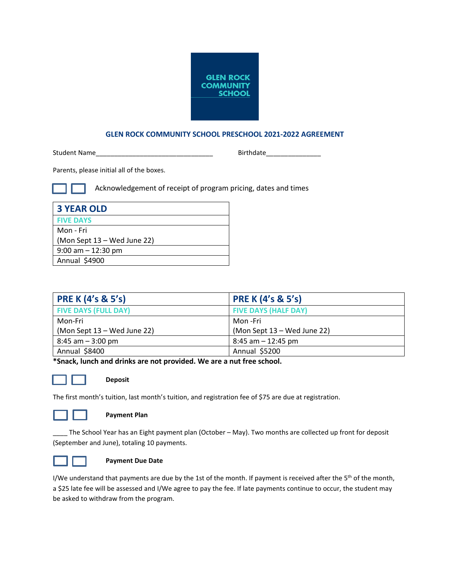

# **GLEN ROCK COMMUNITY SCHOOL PRESCHOOL 2021-2022 AGREEMENT**

Student Name\_\_\_\_\_\_\_\_\_\_\_\_\_\_\_\_\_\_\_\_\_\_\_\_\_\_\_\_\_\_\_\_ Birthdate\_\_\_\_\_\_\_\_\_\_\_\_\_\_\_

Parents, please initial all of the boxes.

Acknowledgement of receipt of program pricing, dates and times

| <b>3 YEAR OLD</b>           |
|-----------------------------|
| <b>FIVE DAYS</b>            |
| Mon - Fri                   |
| (Mon Sept 13 – Wed June 22) |
| $9:00$ am $-12:30$ pm       |
| Annual \$4900               |

| <b>PRE K (4's &amp; 5's)</b> | <b>PRE K (4's &amp; 5's)</b> |
|------------------------------|------------------------------|
| <b>FIVE DAYS (FULL DAY)</b>  | <b>FIVE DAYS (HALF DAY)</b>  |
| Mon-Fri                      | Mon -Fri                     |
| (Mon Sept 13 – Wed June 22)  | (Mon Sept 13 – Wed June 22)  |
| $8:45$ am $-3:00$ pm         | $8:45$ am $-12:45$ pm        |
| Annual \$8400                | Annual \$5200                |

**\*Snack, lunch and drinks are not provided. We are a nut free school.**



# **\_\_\_ Deposit**

The first month's tuition, last month's tuition, and registration fee of \$75 are due at registration.



# **Payment Plan**

\_\_\_\_ The School Year has an Eight payment plan (October – May). Two months are collected up front for deposit (September and June), totaling 10 payments.



# **Payment Due Date**

I/We understand that payments are due by the 1st of the month. If payment is received after the  $5<sup>th</sup>$  of the month, a \$25 late fee will be assessed and I/We agree to pay the fee. If late payments continue to occur, the student may be asked to withdraw from the program.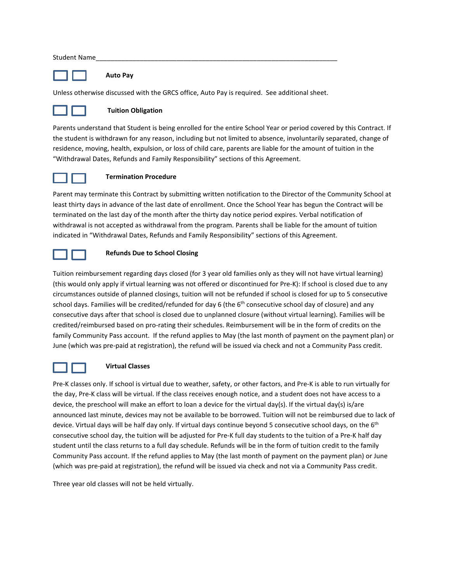#### Student Name

# **\_\_ Auto Pay**

Unless otherwise discussed with the GRCS office, Auto Pay is required. See additional sheet.



#### **Tuition Obligation**

Parents understand that Student is being enrolled for the entire School Year or period covered by this Contract. If the student is withdrawn for any reason, including but not limited to absence, involuntarily separated, change of residence, moving, health, expulsion, or loss of child care, parents are liable for the amount of tuition in the "Withdrawal Dates, Refunds and Family Responsibility" sections of this Agreement.



#### **\_ Termination Procedure**

Parent may terminate this Contract by submitting written notification to the Director of the Community School at least thirty days in advance of the last date of enrollment. Once the School Year has begun the Contract will be terminated on the last day of the month after the thirty day notice period expires. Verbal notification of withdrawal is not accepted as withdrawal from the program. Parents shall be liable for the amount of tuition indicated in "Withdrawal Dates, Refunds and Family Responsibility" sections of this Agreement.



#### **\_ Refunds Due to School Closing**

Tuition reimbursement regarding days closed (for 3 year old families only as they will not have virtual learning) (this would only apply if virtual learning was not offered or discontinued for Pre-K): If school is closed due to any circumstances outside of planned closings, tuition will not be refunded if school is closed for up to 5 consecutive school days. Families will be credited/refunded for day 6 (the  $6<sup>th</sup>$  consecutive school day of closure) and any consecutive days after that school is closed due to unplanned closure (without virtual learning). Families will be credited/reimbursed based on pro-rating their schedules. Reimbursement will be in the form of credits on the family Community Pass account. If the refund applies to May (the last month of payment on the payment plan) or June (which was pre-paid at registration), the refund will be issued via check and not a Community Pass credit.



# **\_ Virtual Classes**

Pre-K classes only. If school is virtual due to weather, safety, or other factors, and Pre-K is able to run virtually for the day, Pre-K class will be virtual. If the class receives enough notice, and a student does not have access to a device, the preschool will make an effort to loan a device for the virtual day(s). If the virtual day(s) is/are announced last minute, devices may not be available to be borrowed. Tuition will not be reimbursed due to lack of device. Virtual days will be half day only. If virtual days continue beyond 5 consecutive school days, on the 6<sup>th</sup> consecutive school day, the tuition will be adjusted for Pre-K full day students to the tuition of a Pre-K half day student until the class returns to a full day schedule. Refunds will be in the form of tuition credit to the family Community Pass account. If the refund applies to May (the last month of payment on the payment plan) or June (which was pre-paid at registration), the refund will be issued via check and not via a Community Pass credit.

Three year old classes will not be held virtually.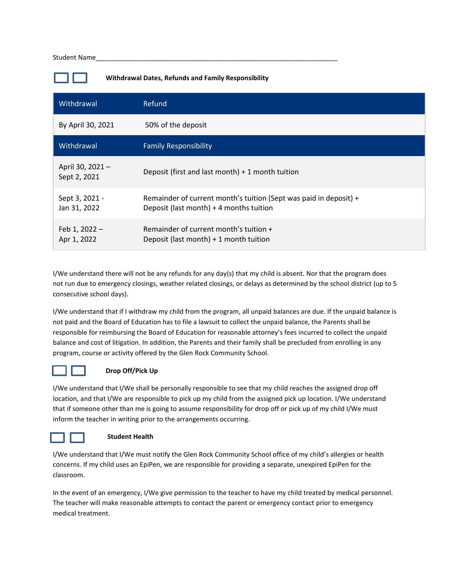#### Student Name

**Withdrawal Dates, Refunds and Family Responsibility**

| Withdrawal                      | Refund                                                                                                       |
|---------------------------------|--------------------------------------------------------------------------------------------------------------|
| By April 30, 2021               | 50% of the deposit                                                                                           |
| Withdrawal                      | <b>Family Responsibility</b>                                                                                 |
| April 30, 2021-<br>Sept 2, 2021 | Deposit (first and last month) $+1$ month tuition                                                            |
| Sept 3, 2021 -<br>Jan 31, 2022  | Remainder of current month's tuition (Sept was paid in deposit) +<br>Deposit (last month) + 4 months tuition |
| Feb 1, 2022 -<br>Apr 1, 2022    | Remainder of current month's tuition +<br>Deposit (last month) + 1 month tuition                             |

I/We understand there will not be any refunds for any day(s) that my child is absent. Nor that the program does not run due to emergency closings, weather related closings, or delays as determined by the school district (up to 5 consecutive school days).

I/We understand that if I withdraw my child from the program, all unpaid balances are due. If the unpaid balance is not paid and the Board of Education has to file a lawsuit to collect the unpaid balance, the Parents shall be responsible for reimbursing the Board of Education for reasonable attorney's fees incurred to collect the unpaid balance and cost of litigation. In addition, the Parents and their family shall be precluded from enrolling in any program, course or activity offered by the Glen Rock Community School.



# **Drop Off/Pick Up**

I/We understand that I/We shall be personally responsible to see that my child reaches the assigned drop off location, and that I/We are responsible to pick up my child from the assigned pick up location. I/We understand that if someone other than me is going to assume responsibility for drop off or pick up of my child I/We must inform the teacher in writing prior to the arrangements occurring.



# **Student Health**

I/We understand that I/We must notify the Glen Rock Community School office of my child's allergies or health concerns. If my child uses an EpiPen, we are responsible for providing a separate, unexpired EpiPen for the classroom.

In the event of an emergency, I/We give permission to the teacher to have my child treated by medical personnel. The teacher will make reasonable attempts to contact the parent or emergency contact prior to emergency medical treatment.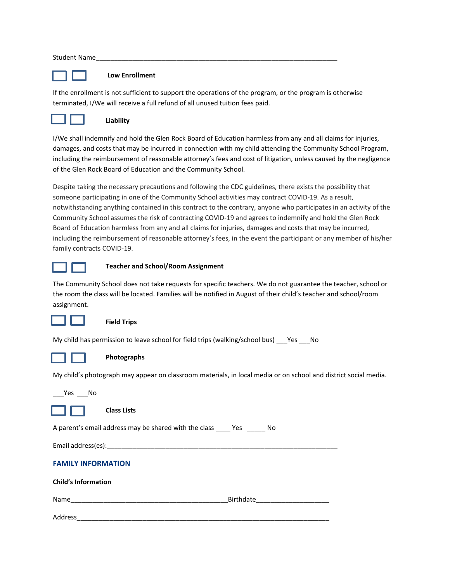#### Student Name



#### **Low Enrollment**

If the enrollment is not sufficient to support the operations of the program, or the program is otherwise terminated, I/We will receive a full refund of all unused tuition fees paid.



# **Liability**

I/We shall indemnify and hold the Glen Rock Board of Education harmless from any and all claims for injuries, damages, and costs that may be incurred in connection with my child attending the Community School Program, including the reimbursement of reasonable attorney's fees and cost of litigation, unless caused by the negligence of the Glen Rock Board of Education and the Community School.

Despite taking the necessary precautions and following the CDC guidelines, there exists the possibility that someone participating in one of the Community School activities may contract COVID-19. As a result, notwithstanding anything contained in this contract to the contrary, anyone who participates in an activity of the Community School assumes the risk of contracting COVID-19 and agrees to indemnify and hold the Glen Rock Board of Education harmless from any and all claims for injuries, damages and costs that may be incurred, including the reimbursement of reasonable attorney's fees, in the event the participant or any member of his/her family contracts COVID-19.



#### **Teacher and School/Room Assignment**

The Community School does not take requests for specific teachers. We do not guarantee the teacher, school or the room the class will be located. Families will be notified in August of their child's teacher and school/room assignment.



#### **Field Trips**

My child has permission to leave school for field trips (walking/school bus) \_\_\_Yes \_\_\_No



# **Photographs**

My child's photograph may appear on classroom materials, in local media or on school and district social media.

Yes No



**Class Lists**

A parent's email address may be shared with the class \_\_\_\_ Yes \_\_\_\_\_ No

Email address(es):

**Child's Information**

# **FAMILY INFORMATION**

| child 3 internation |           |
|---------------------|-----------|
| Name                | Birthdate |
| Address             |           |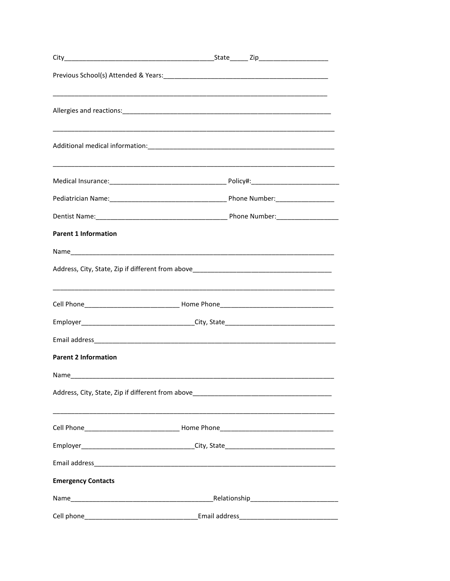|                             | _State_______ Zip_________________________                                                                                                                                                                                     |  |  |  |
|-----------------------------|--------------------------------------------------------------------------------------------------------------------------------------------------------------------------------------------------------------------------------|--|--|--|
|                             |                                                                                                                                                                                                                                |  |  |  |
|                             |                                                                                                                                                                                                                                |  |  |  |
|                             |                                                                                                                                                                                                                                |  |  |  |
|                             |                                                                                                                                                                                                                                |  |  |  |
|                             |                                                                                                                                                                                                                                |  |  |  |
|                             |                                                                                                                                                                                                                                |  |  |  |
| <b>Parent 1 Information</b> |                                                                                                                                                                                                                                |  |  |  |
|                             |                                                                                                                                                                                                                                |  |  |  |
|                             |                                                                                                                                                                                                                                |  |  |  |
|                             |                                                                                                                                                                                                                                |  |  |  |
|                             | Employer__________________________________City, State___________________________                                                                                                                                               |  |  |  |
|                             |                                                                                                                                                                                                                                |  |  |  |
| <b>Parent 2 Information</b> |                                                                                                                                                                                                                                |  |  |  |
|                             |                                                                                                                                                                                                                                |  |  |  |
|                             |                                                                                                                                                                                                                                |  |  |  |
|                             |                                                                                                                                                                                                                                |  |  |  |
|                             | Employer_________________________________City, State____________________________                                                                                                                                               |  |  |  |
|                             |                                                                                                                                                                                                                                |  |  |  |
| <b>Emergency Contacts</b>   |                                                                                                                                                                                                                                |  |  |  |
|                             |                                                                                                                                                                                                                                |  |  |  |
| Cell phone                  | Email address and the control of the control of the control of the control of the control of the control of the control of the control of the control of the control of the control of the control of the control of the contr |  |  |  |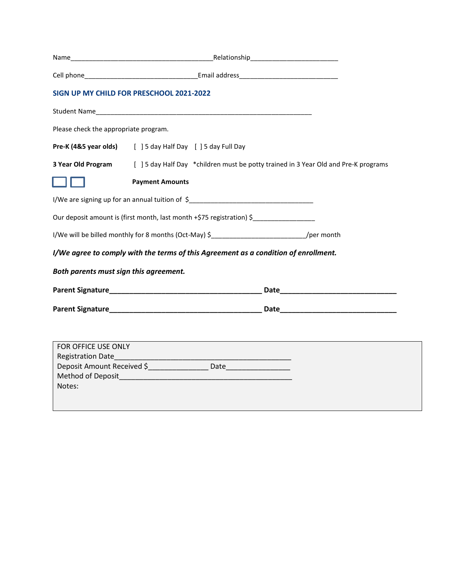|                                        | SIGN UP MY CHILD FOR PRESCHOOL 2021-2022                                                               |                                                                                                                                                                                                                                |
|----------------------------------------|--------------------------------------------------------------------------------------------------------|--------------------------------------------------------------------------------------------------------------------------------------------------------------------------------------------------------------------------------|
|                                        |                                                                                                        |                                                                                                                                                                                                                                |
| Please check the appropriate program.  |                                                                                                        |                                                                                                                                                                                                                                |
|                                        | Pre-K (4&5 year olds) [ ] 5 day Half Day [ ] 5 day Full Day                                            |                                                                                                                                                                                                                                |
|                                        | 3 Year Old Program [ ] 5 day Half Day *children must be potty trained in 3 Year Old and Pre-K programs |                                                                                                                                                                                                                                |
|                                        | <b>Payment Amounts</b>                                                                                 |                                                                                                                                                                                                                                |
|                                        | I/We are signing up for an annual tuition of \$__________________________________                      |                                                                                                                                                                                                                                |
|                                        | Our deposit amount is (first month, last month +\$75 registration) \$                                  |                                                                                                                                                                                                                                |
|                                        | I/We will be billed monthly for 8 months (Oct-May) \$__________________________________/per month      |                                                                                                                                                                                                                                |
|                                        | I/We agree to comply with the terms of this Agreement as a condition of enrollment.                    |                                                                                                                                                                                                                                |
| Both parents must sign this agreement. |                                                                                                        |                                                                                                                                                                                                                                |
|                                        |                                                                                                        | Date and the contract of the contract of the contract of the contract of the contract of the contract of the contract of the contract of the contract of the contract of the contract of the contract of the contract of the c |
|                                        |                                                                                                        |                                                                                                                                                                                                                                |
|                                        |                                                                                                        |                                                                                                                                                                                                                                |
| FOR OFFICE USE ONLY                    |                                                                                                        |                                                                                                                                                                                                                                |
| <b>Registration Date</b>               |                                                                                                        |                                                                                                                                                                                                                                |
|                                        | Deposit Amount Received \$__________________ Date____________________                                  |                                                                                                                                                                                                                                |
|                                        |                                                                                                        |                                                                                                                                                                                                                                |
| Notes:                                 |                                                                                                        |                                                                                                                                                                                                                                |
|                                        |                                                                                                        |                                                                                                                                                                                                                                |
|                                        |                                                                                                        |                                                                                                                                                                                                                                |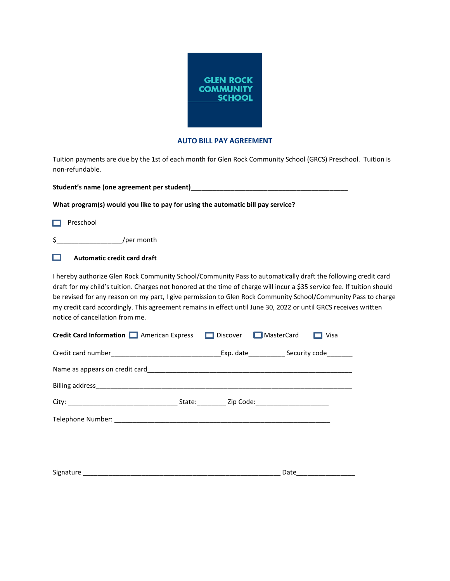

#### **AUTO BILL PAY AGREEMENT**

Tuition payments are due by the 1st of each month for Glen Rock Community School (GRCS) Preschool. Tuition is non-refundable.

**Student's name (one agreement per student)**\_\_\_\_\_\_\_\_\_\_\_\_\_\_\_\_\_\_\_\_\_\_\_\_\_\_\_\_\_\_\_\_\_\_\_\_\_\_\_\_\_\_\_

**What program(s) would you like to pay for using the automatic bill pay service?**

Preschool Ï

\$\_\_\_\_\_\_\_\_\_\_\_\_\_\_\_\_\_\_/per month

 $\Box$  Automatic credit card draft Ĩ

I hereby authorize Glen Rock Community School/Community Pass to automatically draft the following credit card draft for my child's tuition. Charges not honored at the time of charge will incur a \$35 service fee. If tuition should be revised for any reason on my part, I give permission to Glen Rock Community School/Community Pass to charge my credit card accordingly. This agreement remains in effect until June 30, 2022 or until GRCS receives written notice of cancellation from me.

| <b>Credit Card Information I American Express I Discover I MasterCard</b> | Visa               |  |
|---------------------------------------------------------------------------|--------------------|--|
|                                                                           |                    |  |
|                                                                           |                    |  |
|                                                                           |                    |  |
|                                                                           |                    |  |
|                                                                           |                    |  |
|                                                                           |                    |  |
|                                                                           |                    |  |
|                                                                           | Date _____________ |  |